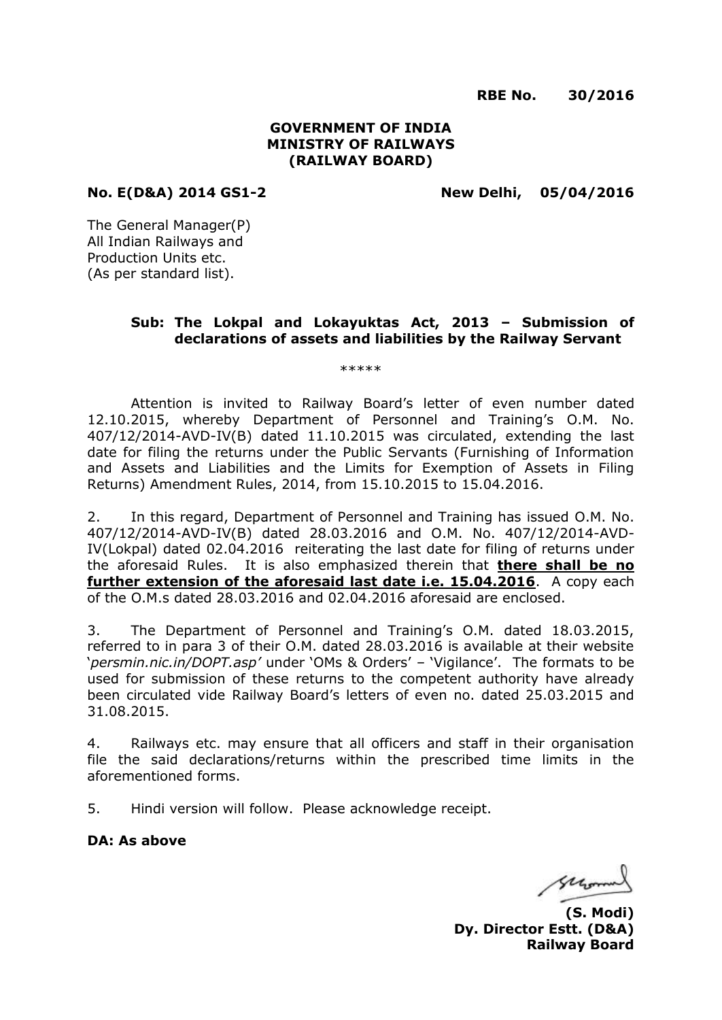**RBE No. 30/2016**

# **GOVERNMENT OF INDIA MINISTRY OF RAILWAYS (RAILWAY BOARD)**

**No. E(D&A) 2014 GS1-2 New Delhi, 05/04/2016**

The General Manager(P) All Indian Railways and Production Units etc. (As per standard list).

# **Sub: The Lokpal and Lokayuktas Act, 2013 – Submission of declarations of assets and liabilities by the Railway Servant**

\*\*\*\*\*

Attention is invited to Railway Board's letter of even number dated 12.10.2015, whereby Department of Personnel and Training's O.M. No. 407/12/2014-AVD-IV(B) dated 11.10.2015 was circulated, extending the last date for filing the returns under the Public Servants (Furnishing of Information and Assets and Liabilities and the Limits for Exemption of Assets in Filing Returns) Amendment Rules, 2014, from 15.10.2015 to 15.04.2016.

2. In this regard, Department of Personnel and Training has issued O.M. No. 407/12/2014-AVD-IV(B) dated 28.03.2016 and O.M. No. 407/12/2014-AVD-IV(Lokpal) dated 02.04.2016 reiterating the last date for filing of returns under the aforesaid Rules. It is also emphasized therein that **there shall be no further extension of the aforesaid last date i.e. 15.04.2016**. A copy each of the O.M.s dated 28.03.2016 and 02.04.2016 aforesaid are enclosed.

3. The Department of Personnel and Training's O.M. dated 18.03.2015, referred to in para 3 of their O.M. dated 28.03.2016 is available at their website '*persmin.nic.in/DOPT.asp'* under 'OMs & Orders' – 'Vigilance'. The formats to be used for submission of these returns to the competent authority have already been circulated vide Railway Board's letters of even no. dated 25.03.2015 and 31.08.2015.

4. Railways etc. may ensure that all officers and staff in their organisation file the said declarations/returns within the prescribed time limits in the aforementioned forms.

5. Hindi version will follow. Please acknowledge receipt.

**DA: As above**

Gregoria

**(S. Modi) Dy. Director Estt. (D&A) Railway Board**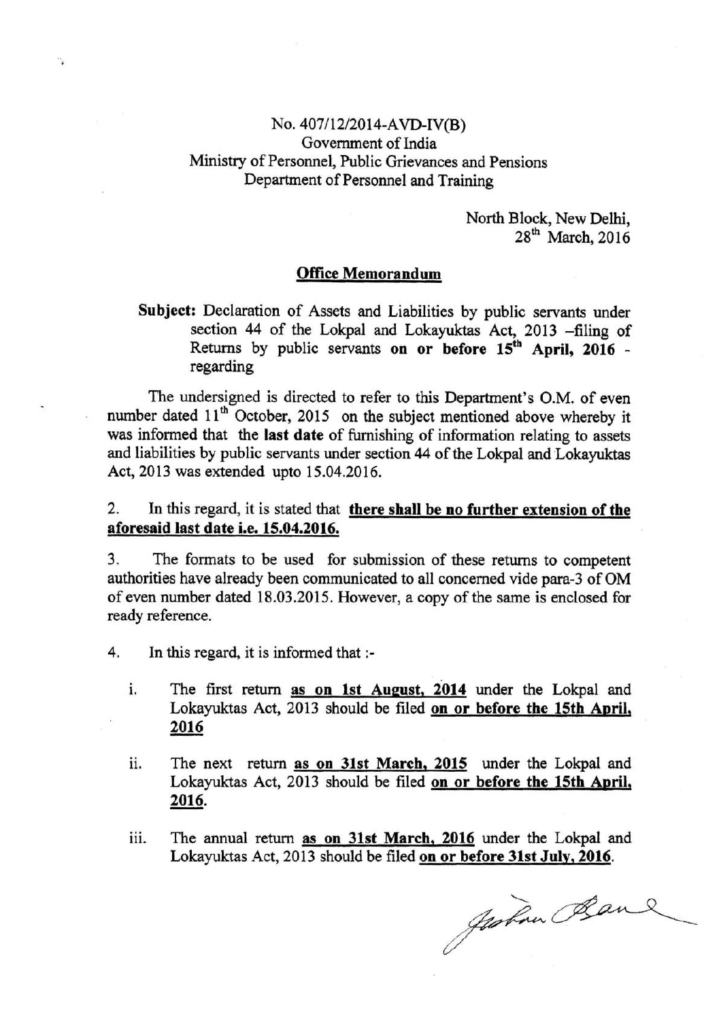# No. 407/12/2014-AVD-IV(B) Government of India Ministry of Personnel, Public Grievances and Pensions Department of Personnel and Training

North Block, New Delhi,  $28<sup>th</sup>$  March, 2016

# **Office Memorandum**

# Subject: Declaration of Assets and Liabilities by public servants under section 44 of the Lokpal and Lokayuktas Act, 2013 -filing of Returns by public servants on or before 15<sup>th</sup> April, 2016 regarding

The undersigned is directed to refer to this Department's O.M. of even number dated 11<sup>th</sup> October, 2015 on the subject mentioned above whereby it was informed that the last date of furnishing of information relating to assets and liabilities by public servants under section 44 of the Lokpal and Lokayuktas Act, 2013 was extended upto 15.04.2016.

### $2.$ In this regard, it is stated that there shall be no further extension of the aforesaid last date i.e. 15.04.2016.

3. The formats to be used for submission of these returns to competent authorities have already been communicated to all concerned vide para-3 of OM of even number dated 18.03.2015. However, a copy of the same is enclosed for ready reference.

- In this regard, it is informed that :-4.
	- The first return as on 1st August, 2014 under the Lokpal and i. Lokayuktas Act, 2013 should be filed on or before the 15th April, 2016
	- The next return as on 31st March, 2015 under the Lokpal and ii. Lokayuktas Act, 2013 should be filed on or before the 15th April, 2016.
	- iii. The annual return as on 31st March, 2016 under the Lokpal and Lokayuktas Act, 2013 should be filed on or before 31st July, 2016.

Justin Band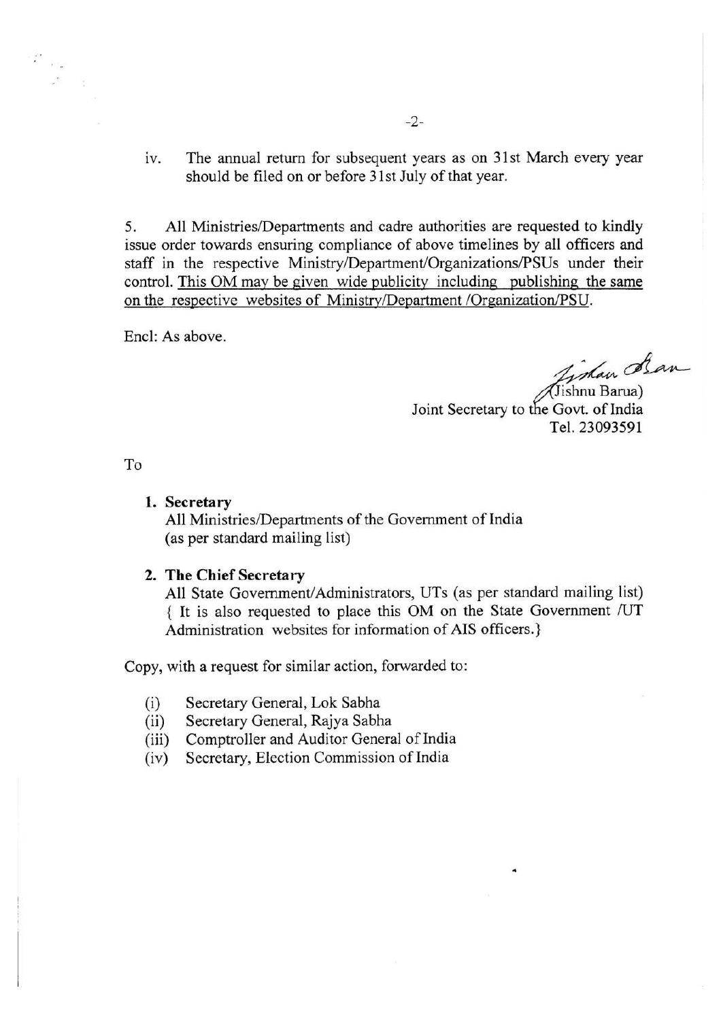The annual return for subsequent years as on 31st March every year  $iv$ should be filed on or before 31st July of that year.

All Ministries/Departments and cadre authorities are requested to kindly 5. issue order towards ensuring compliance of above timelines by all officers and staff in the respective Ministry/Department/Organizations/PSUs under their control. This OM may be given wide publicity including publishing the same on the respective websites of Ministry/Department /Organization/PSU.

Encl: As above.

Timan dran

(Jishnu Barua) Joint Secretary to the Govt. of India Tel. 23093591

To

# 1. Secretary

All Ministries/Departments of the Government of India (as per standard mailing list)

### 2. The Chief Secretary

All State Government/Administrators, UTs (as per standard mailing list) { It is also requested to place this OM on the State Government /UT Administration websites for information of AIS officers.}

Copy, with a request for similar action, forwarded to:

- Secretary General, Lok Sabha  $(i)$
- Secretary General, Rajya Sabha  $(ii)$
- Comptroller and Auditor General of India  $(iii)$
- Secretary, Election Commission of India  $(iv)$